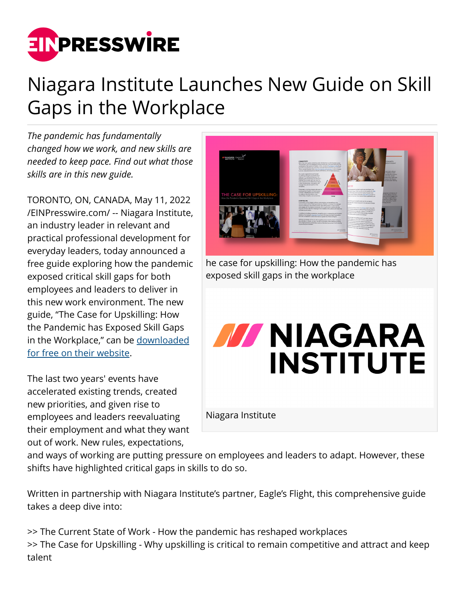

## Niagara Institute Launches New Guide on Skill Gaps in the Workplace

*The pandemic has fundamentally changed how we work, and new skills are needed to keep pace. Find out what those skills are in this new guide.*

TORONTO, ON, CANADA, May 11, 2022 [/EINPresswire.com/](http://www.einpresswire.com) -- Niagara Institute, an industry leader in relevant and practical professional development for everyday leaders, today announced a free guide exploring how the pandemic exposed critical skill gaps for both employees and leaders to deliver in this new work environment. The new guide, "The Case for Upskilling: How the Pandemic has Exposed Skill Gaps in the Workplace," can be [downloaded](https://www.niagarainstitute.com/upskilling-in-the-workplace) [for free on their website.](https://www.niagarainstitute.com/upskilling-in-the-workplace)

The last two years' events have accelerated existing trends, created new priorities, and given rise to employees and leaders reevaluating their employment and what they want out of work. New rules, expectations,



he case for upskilling: How the pandemic has exposed skill gaps in the workplace

## **MAGARA INSTITUTE**

Niagara Institute

and ways of working are putting pressure on employees and leaders to adapt. However, these shifts have highlighted critical gaps in skills to do so.

Written in partnership with Niagara Institute's partner, Eagle's Flight, this comprehensive guide takes a deep dive into:

>> The Current State of Work - How the pandemic has reshaped workplaces >> The Case for Upskilling - Why upskilling is critical to remain competitive and attract and keep talent